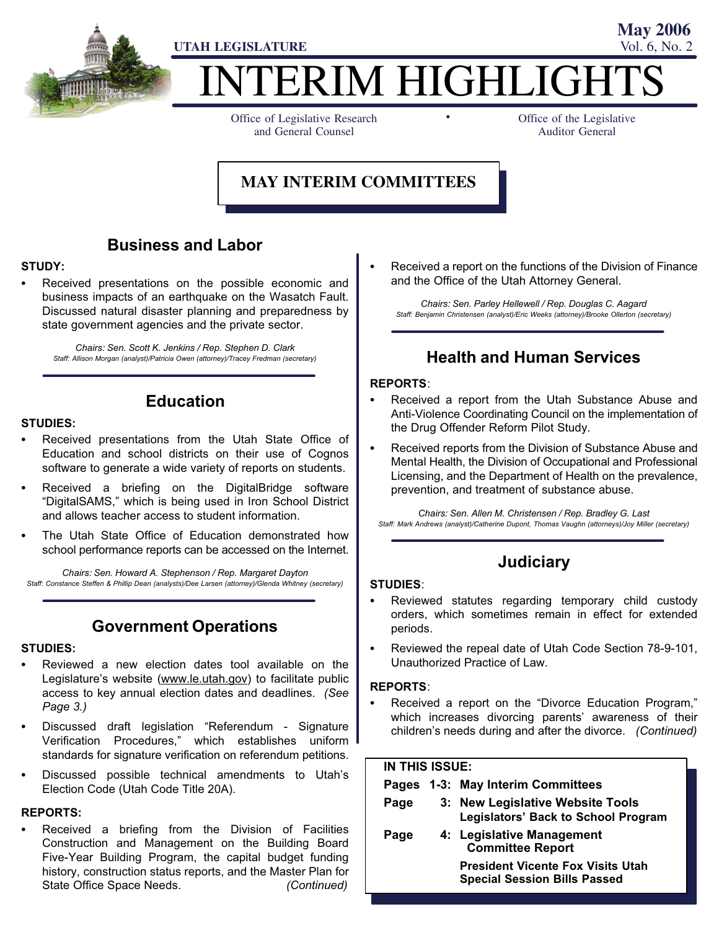

# TERIM HIGHLIGH

-

Office of Legislative Research and General Counsel

Office of the Legislative Auditor General

**May 2006**

#### **MAY INTERIM COMMITTEES**

#### Business and Labor

### STUDY:<br>\_\_

 Received presentations on the possible economic and business impacts of an earthquake on the Wasatch Fault. Discussed natural disaster planning and preparedness by state government agencies and the private sector.

Chairs: Sen. Scott K. Jenkins / Rep. Stephen D. Clark Staff: Allison Morgan (analyst)/Patricia Owen (attorney)/Tracey Fredman (secretary)

#### Education

# STUDIES: -

- Received presentations from the Utah State Office of Education and school districts on their use of Cognos software to generate a wide variety of reports on students.
- Received a briefing on the DigitalBridge software -DigitalSAMS," which is being used in Iron School District and allows teacher access to student information.
- The Utah State Office of Education demonstrated how school performance reports can be accessed on the Internet.

Chairs: Sen. Howard A. Stephenson / Rep. Margaret Dayton Staff: Constance Steffen & Phillip Dean (analysts)/Dee Larsen (attorney)/Glenda Whitney (secretary)

#### Government Operations

# STUDIES: -

- Reviewed a new election dates tool available on the Legislature's website (www.le.utah.gov) to facilitate public access to key annual election dates and deadlines. (See Page 3.)
- Discussed draft legislation "Referendum Signature Verification Procedures," which establishes uniform standards for signature verification on referendum petitions.
- Discussed possible technical amendments to Utah's Election Code (Utah Code Title 20A).

#### REPORTS:

 Received a briefing from the Division of Facilities Construction and Management on the Building Board Five−Year Building Program, the capital budget funding history, construction status reports, and the Master Plan for State Office Space Needs. (Continued)

 Received a report on the functions of the Division of Finance and the Office of the Utah Attorney General.

Chairs: Sen. Parley Hellewell / Rep. Douglas C. Aagard Staff: Benjamin Christensen (analyst)/Eric Weeks (attorney)/Brooke Ollerton (secretary)

#### Health and Human Services

# REPORTS:<br>—

- Received a report from the Utah Substance Abuse and Anti−Violence Coordinating Council on the implementation of the Drug Offender Reform Pilot Study.
- Received reports from the Division of Substance Abuse and Mental Health, the Division of Occupational and Professional Licensing, and the Department of Health on the prevalence, prevention, and treatment of substance abuse.

Chairs: Sen. Allen M. Christensen / Rep. Bradley G. Last Staff: Mark Andrews (analyst)/Catherine Dupont, Thomas Vaughn (attorneys)/Joy Miller (secretary)

#### **Judiciary**

#### STUDIES: -

- Reviewed statutes regarding temporary child custody orders, which sometimes remain in effect for extended periods.
- Reviewed the repeal date of Utah Code Section 78−9−101, Unauthorized Practice of Law.

# REPORTS: -

• Received a report on the "Divorce Education Program," which increases divorcing parents' awareness of their children's needs during and after the divorce. (Continued)

| <b>IN THIS ISSUE:</b> |  |                                                                                 |  |  |
|-----------------------|--|---------------------------------------------------------------------------------|--|--|
|                       |  | Pages 1-3: May Interim Committees                                               |  |  |
| Page                  |  | 3: New Legislative Website Tools<br><b>Legislators' Back to School Program</b>  |  |  |
| Page                  |  | 4: Legislative Management<br><b>Committee Report</b>                            |  |  |
|                       |  | <b>President Vicente Fox Visits Utah</b><br><b>Special Session Bills Passed</b> |  |  |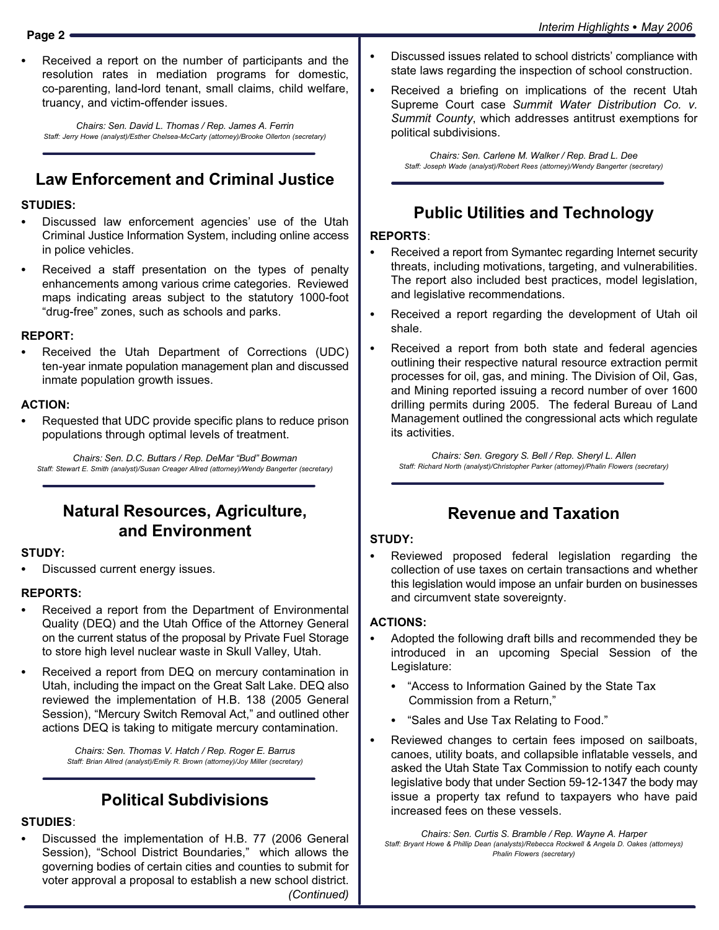Received a report on the number of participants and the resolution rates in mediation programs for domestic, co−parenting, land−lord tenant, small claims, child welfare, truancy, and victim−offender issues.

Chairs: Sen. David L. Thomas / Rep. James A. Ferrin Staff: Jerry Howe (analyst)/Esther Chelsea−McCarty (attorney)/Brooke Ollerton (secretary)

#### Law Enforcement and Criminal Justice

#### STUDIES:<br>--

- Discussed law enforcement agencies' use of the Utah Criminal Justice Information System, including online access in police vehicles.
- Received a staff presentation on the types of penalty enhancements among various crime categories. Reviewed maps indicating areas subject to the statutory 1000−foot -drug−free" zones, such as schools and parks.

## REPORT: -

 Received the Utah Department of Corrections (UDC) ten−year inmate population management plan and discussed inmate population growth issues.

# ACTION: -

 Requested that UDC provide specific plans to reduce prison populations through optimal levels of treatment.

Chairs: Sen. D.C. Buttars / Rep. DeMar "Bud" Bowman Staff: Stewart E. Smith (analyst)/Susan Creager Allred (attorney)/Wendy Bangerter (secretary)

#### Natural Resources, Agriculture, and Environment

# STUDY: -

Discussed current energy issues.

# REPORTS: -

- Received a report from the Department of Environmental Quality (DEQ) and the Utah Office of the Attorney General on the current status of the proposal by Private Fuel Storage to store high level nuclear waste in Skull Valley, Utah.
- Received a report from DEQ on mercury contamination in Utah, including the impact on the Great Salt Lake. DEQ also reviewed the implementation of H.B. 138 (2005 General Session), "Mercury Switch Removal Act," and outlined other actions DEQ is taking to mitigate mercury contamination.

Chairs: Sen. Thomas V. Hatch / Rep. Roger E. Barrus Staff: Brian Allred (analyst)/Emily R. Brown (attorney)/Joy Miller (secretary)

#### Political Subdivisions

# STUDIES:<br>--

 Discussed the implementation of H.B. 77 (2006 General Session), "School District Boundaries," which allows the governing bodies of certain cities and counties to submit for voter approval a proposal to establish a new school district. (Continued)

- Discussed issues related to school districts' compliance with state laws regarding the inspection of school construction.
- Received a briefing on implications of the recent Utah Supreme Court case Summit Water Distribution Co. v. Summit County, which addresses antitrust exemptions for political subdivisions.

Chairs: Sen. Carlene M. Walker / Rep. Brad L. Dee Staff: Joseph Wade (analyst)/Robert Rees (attorney)/Wendy Bangerter (secretary)

#### Public Utilities and Technology

# REPORTS:<br>—

- Received a report from Symantec regarding Internet security threats, including motivations, targeting, and vulnerabilities. The report also included best practices, model legislation, and legislative recommendations.
- Received a report regarding the development of Utah oil shale.
- Received a report from both state and federal agencies outlining their respective natural resource extraction permit processes for oil, gas, and mining. The Division of Oil, Gas, and Mining reported issuing a record number of over 1600 drilling permits during 2005. The federal Bureau of Land Management outlined the congressional acts which regulate its activities.

Chairs: Sen. Gregory S. Bell / Rep. Sheryl L. Allen Staff: Richard North (analyst)/Christopher Parker (attorney)/Phalin Flowers (secretary)

#### Revenue and Taxation

# STUDY: -

 Reviewed proposed federal legislation regarding the collection of use taxes on certain transactions and whether this legislation would impose an unfair burden on businesses and circumvent state sovereignty.

#### ACTIONS: -

- Adopted the following draft bills and recommended they be introduced in an upcoming Special Session of the Legislature:
	- -Access to Information Gained by the State Tax Commission from a Return,"
	- -Sales and Use Tax Relating to Food."
- Reviewed changes to certain fees imposed on sailboats, canoes, utility boats, and collapsible inflatable vessels, and asked the Utah State Tax Commission to notify each county legislative body that under Section 59−12−1347 the body may issue a property tax refund to taxpayers who have paid increased fees on these vessels.

Chairs: Sen. Curtis S. Bramble / Rep. Wayne A. Harper Staff: Bryant Howe & Phillip Dean (analysts)/Rebecca Rockwell & Angela D. Oakes (attorneys) Phalin Flowers (secretary)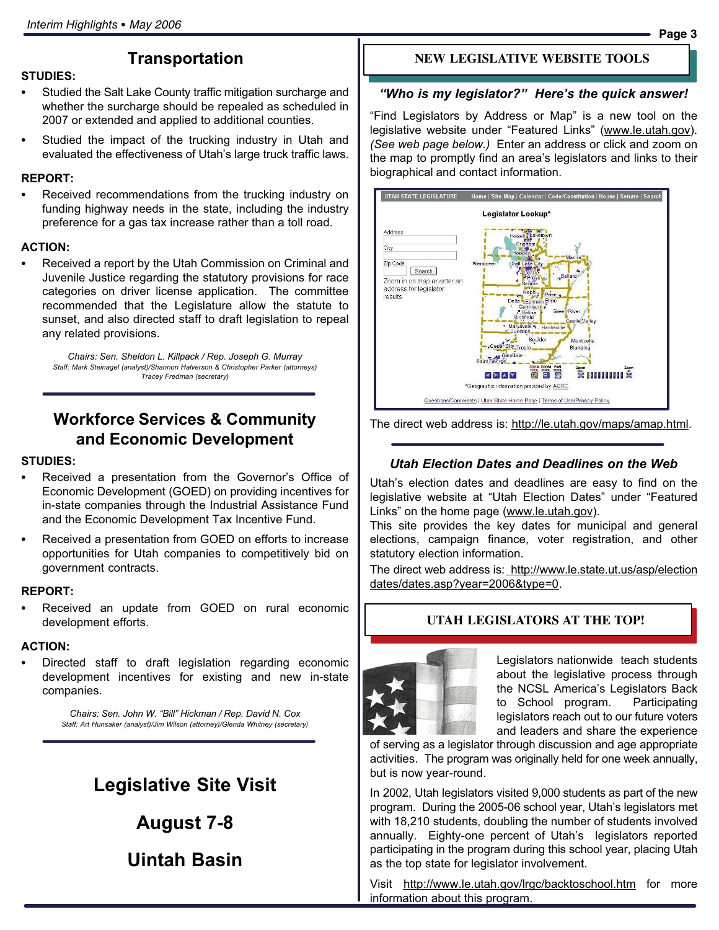#### **Transportation**

#### STUDIES: - Studied the Salt Lake County traffic mitigation surcharge and whether the surcharge should be repealed as scheduled in 2007 or extended and applied to additional counties.

 Studied the impact of the trucking industry in Utah and evaluated the effectiveness of Utah's large truck traffic laws.

# REPORT: -

 Received recommendations from the trucking industry on funding highway needs in the state, including the industry preference for a gas tax increase rather than a toll road.

# ACTION: -

 Received a report by the Utah Commission on Criminal and Juvenile Justice regarding the statutory provisions for race categories on driver license application. The committee recommended that the Legislature allow the statute to sunset, and also directed staff to draft legislation to repeal any related provisions.

Chairs: Sen. Sheldon L. Killpack / Rep. Joseph G. Murray Staff: Mark Steinagel (analyst)/Shannon Halverson & Christopher Parker (attorneys) Tracey Fredman (secretary)

#### Workforce Services & Community and Economic Development

# STUDIES: -

- Received a presentation from the Governor's Office of Economic Development (GOED) on providing incentives for in−state companies through the Industrial Assistance Fund and the Economic Development Tax Incentive Fund.
- Received a presentation from GOED on efforts to increase opportunities for Utah companies to competitively bid on government contracts.

#### REPORT: -

 Received an update from GOED on rural economic development efforts.

# ACTION:

 Directed staff to draft legislation regarding economic development incentives for existing and new in−state companies.

> Chairs: Sen. John W. "Bill" Hickman / Rep. David N. Cox Staff: Art Hunsaker (analyst)/Jim Wilson (attorney)/Glenda Whitney (secretary)

# Legislative Site Visit

August 7−8

Uintah Basin

#### **NEW LEGISLATIVE WEBSITE TOOLS**

#### "Who is my legislator?" Here's the quick answer!

-Find Legislators by Address or Map" is a new tool on the legislative website under "Featured Links" (www.le.utah.gov). (See web page below.) Enter an address or click and zoom on the map to promptly find an area's legislators and links to their biographical and contact information.





#### Utah Election Dates and Deadlines on the Web

Utah's election dates and deadlines are easy to find on the legislative website at "Utah Election Dates" under "Featured Links" on the home page (www.le.utah.gov).

This site provides the key dates for municipal and general elections, campaign finance, voter registration, and other statutory election information.

The direct web address is: http://www.le.state.ut.us/asp/election dates/dates.asp?year=2006&type=0.

#### **UTAH LEGISLATORS AT THE TOP!**



Legislators nationwide teach students about the legislative process through the NCSL America's Legislators Back to School program. Participating legislators reach out to our future voters and leaders and share the experience

of serving as a legislator through discussion and age appropriate activities. The program was originally held for one week annually, but is now year−round.

In 2002, Utah legislators visited 9,000 students as part of the new program. During the 2005−06 school year, Utah's legislators met with 18,210 students, doubling the number of students involved annually. Eighty−one percent of Utah's legislators reported participating in the program during this school year, placing Utah as the top state for legislator involvement.

Visit http://www.le.utah.gov/lrgc/backtoschool.htm for more information about this program.